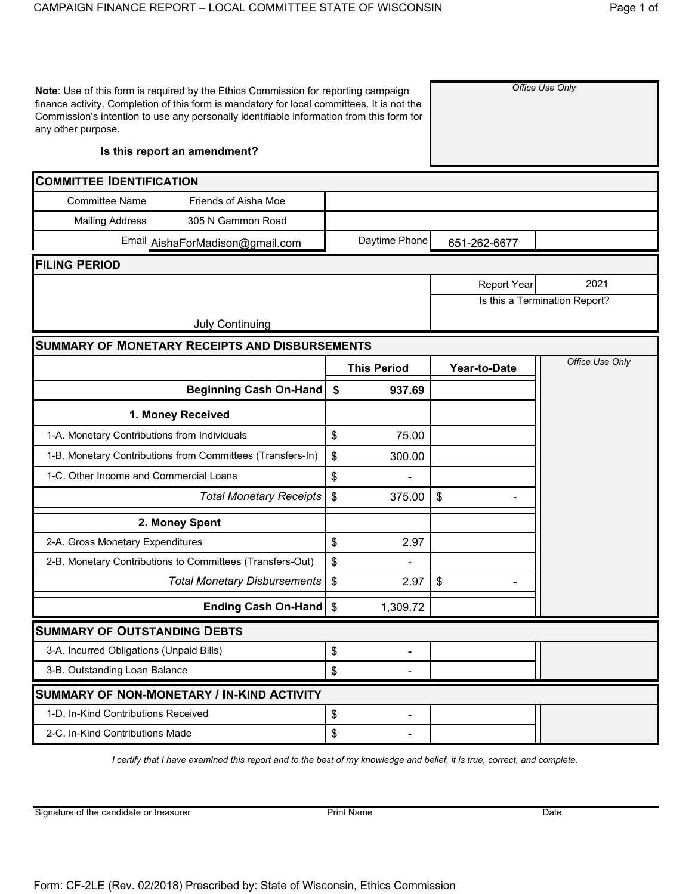| any other purpose.                           | Note: Use of this form is required by the Ethics Commission for reporting campaign<br>finance activity. Completion of this form is mandatory for local committees. It is not the<br>Commission's intention to use any personally identifiable information from this form for |                            |                    |                    | Office Use Only               |
|----------------------------------------------|------------------------------------------------------------------------------------------------------------------------------------------------------------------------------------------------------------------------------------------------------------------------------|----------------------------|--------------------|--------------------|-------------------------------|
|                                              | Is this report an amendment?                                                                                                                                                                                                                                                 |                            |                    |                    |                               |
| <b>COMMITTEE IDENTIFICATION</b>              |                                                                                                                                                                                                                                                                              |                            |                    |                    |                               |
| <b>Committee Name</b>                        | Friends of Aisha Moe                                                                                                                                                                                                                                                         |                            |                    |                    |                               |
| <b>Mailing Address</b>                       | 305 N Gammon Road                                                                                                                                                                                                                                                            |                            |                    |                    |                               |
|                                              | Email AishaForMadison@gmail.com                                                                                                                                                                                                                                              |                            | Daytime Phone      | 651-262-6677       |                               |
| <b>FILING PERIOD</b>                         |                                                                                                                                                                                                                                                                              |                            |                    |                    |                               |
|                                              |                                                                                                                                                                                                                                                                              |                            |                    | <b>Report Year</b> | 2021                          |
|                                              |                                                                                                                                                                                                                                                                              |                            |                    |                    | Is this a Termination Report? |
|                                              | <b>July Continuing</b>                                                                                                                                                                                                                                                       |                            |                    |                    |                               |
|                                              | <b>SUMMARY OF MONETARY RECEIPTS AND DISBURSEMENTS</b>                                                                                                                                                                                                                        |                            |                    |                    |                               |
|                                              |                                                                                                                                                                                                                                                                              |                            | <b>This Period</b> | Year-to-Date       | Office Use Only               |
|                                              | <b>Beginning Cash On-Hand</b>                                                                                                                                                                                                                                                | \$                         | 937.69             |                    |                               |
|                                              | 1. Money Received                                                                                                                                                                                                                                                            |                            |                    |                    |                               |
| 1-A. Monetary Contributions from Individuals |                                                                                                                                                                                                                                                                              | $\boldsymbol{\mathsf{\$}}$ | 75.00              |                    |                               |
|                                              | 1-B. Monetary Contributions from Committees (Transfers-In)                                                                                                                                                                                                                   | \$                         | 300.00             |                    |                               |
| 1-C. Other Income and Commercial Loans       |                                                                                                                                                                                                                                                                              | \$                         |                    |                    |                               |
|                                              | <b>Total Monetary Receipts</b>                                                                                                                                                                                                                                               | \$                         | 375.00             | \$                 |                               |
|                                              | 2. Money Spent                                                                                                                                                                                                                                                               |                            |                    |                    |                               |
| 2-A. Gross Monetary Expenditures             |                                                                                                                                                                                                                                                                              | \$                         | 2.97               |                    |                               |
|                                              | 2-B. Monetary Contributions to Committees (Transfers-Out)                                                                                                                                                                                                                    | \$                         |                    |                    |                               |
|                                              | <b>Total Monetary Disbursements</b>                                                                                                                                                                                                                                          | $\mathsf{\$}$              | 2.97               | \$                 |                               |
|                                              | <b>Ending Cash On-Hand</b>                                                                                                                                                                                                                                                   | $\mathfrak{S}$             | 1,309.72           |                    |                               |
| <b>SUMMARY OF OUTSTANDING DEBTS</b>          |                                                                                                                                                                                                                                                                              |                            |                    |                    |                               |
| 3-A. Incurred Obligations (Unpaid Bills)     |                                                                                                                                                                                                                                                                              | \$                         | $\blacksquare$     |                    |                               |
| 3-B. Outstanding Loan Balance                |                                                                                                                                                                                                                                                                              | \$                         |                    |                    |                               |
|                                              | <b>SUMMARY OF NON-MONETARY / IN-KIND ACTIVITY</b>                                                                                                                                                                                                                            |                            |                    |                    |                               |
| 1-D. In-Kind Contributions Received          |                                                                                                                                                                                                                                                                              | \$                         |                    |                    |                               |
| 2-C. In-Kind Contributions Made              |                                                                                                                                                                                                                                                                              | \$                         |                    |                    |                               |

*I certify that I have examined this report and to the best of my knowledge and belief, it is true, correct, and complete.*

Signature of the candidate or treasurer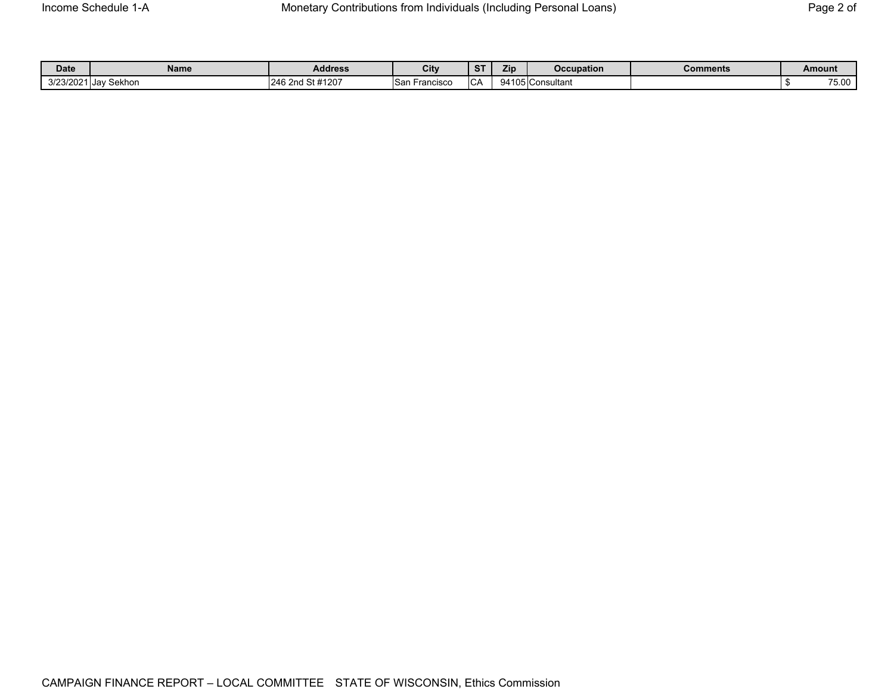| <b>Date</b> | Name             | <b>Address</b>   | City             | $_{\rm cr}$<br>$\mathbf{z}$ | Zip                              | <b>Occupation</b> | Comments | Amount              |
|-------------|------------------|------------------|------------------|-----------------------------|----------------------------------|-------------------|----------|---------------------|
| 3/23/202    | Sekhon<br>…Jav ' | 246 2nd St #1207 | San<br>-rancıscc | $\sim$<br>ັບກ               | 9410 <sup>r</sup><br>⊺Consultant |                   |          | --<br><b>.</b> v. v |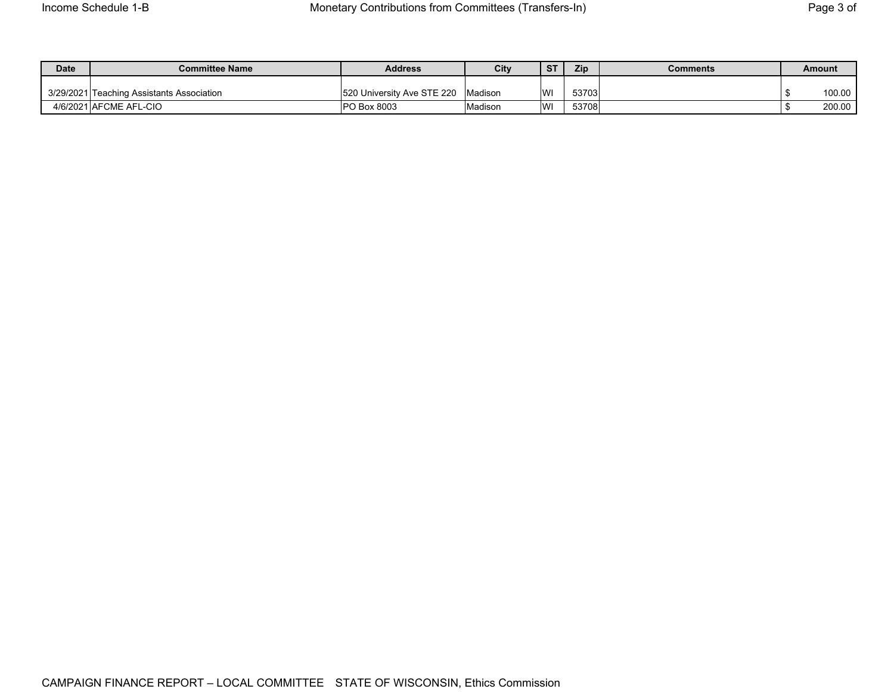| <b>Date</b> | <b>Committee Name</b>                     | <b>Address</b>             | City    | ST | Zip   | Comments | Amount |
|-------------|-------------------------------------------|----------------------------|---------|----|-------|----------|--------|
|             | 3/29/2021 Teaching Assistants Association | 520 University Ave STE 220 | Madison | WI | 53703 |          | 100.00 |
|             | 4/6/2021 AFCME AFL-CIO                    | <b>PO Box 8003</b>         | Madison | WI | 53708 |          | 200.00 |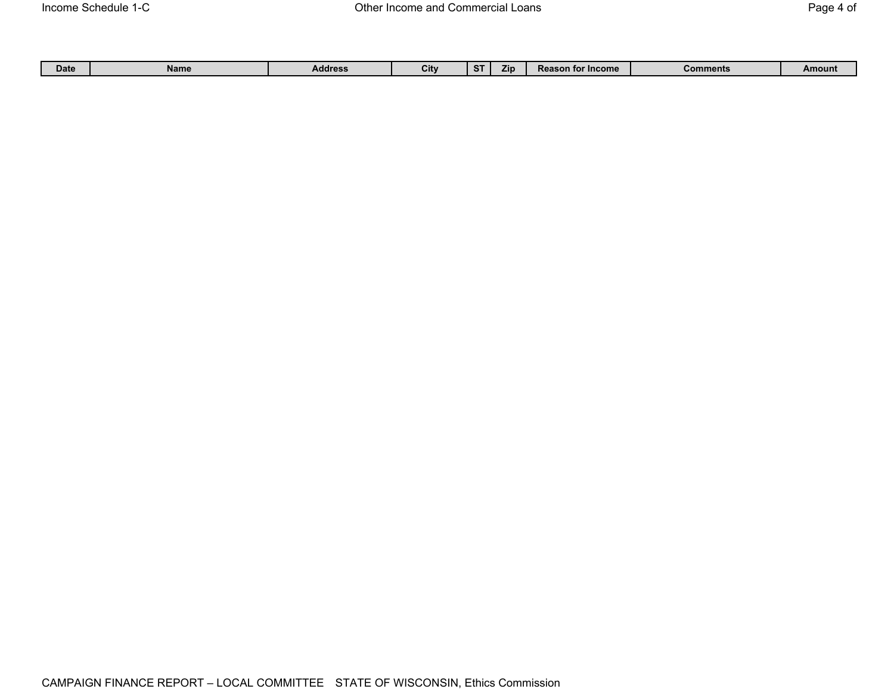| Date | Name | Address | . .<br>UЦ | ~<br>a. | מוז | <b>Reason for Income</b> | ำments<br>⊷∩r | Amount |
|------|------|---------|-----------|---------|-----|--------------------------|---------------|--------|
|      |      |         |           |         |     |                          |               |        |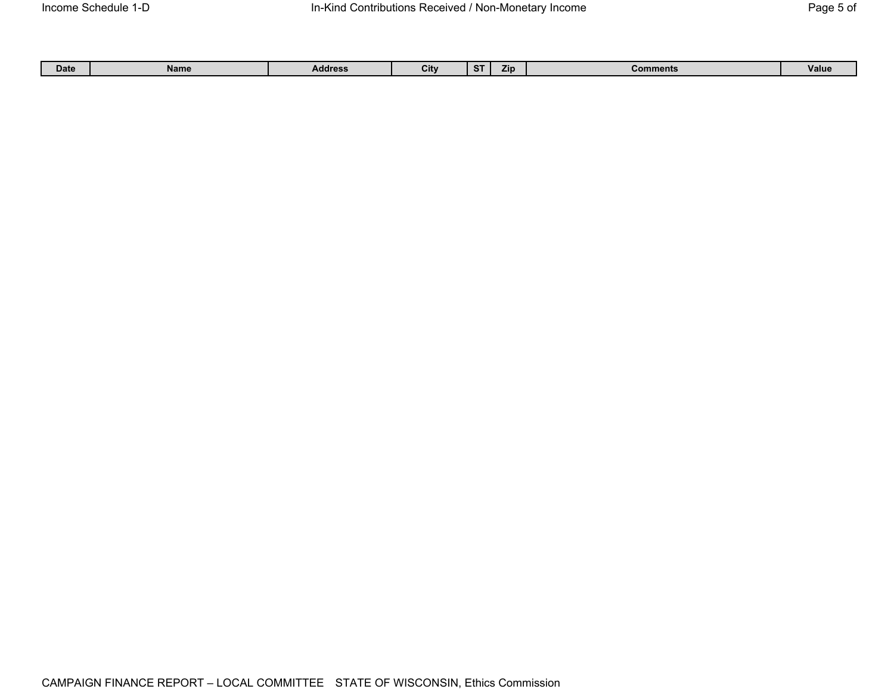| Date | Name | <b>Address</b> | City | $\sqrt{10}$<br>.ש | Comments | Value |
|------|------|----------------|------|-------------------|----------|-------|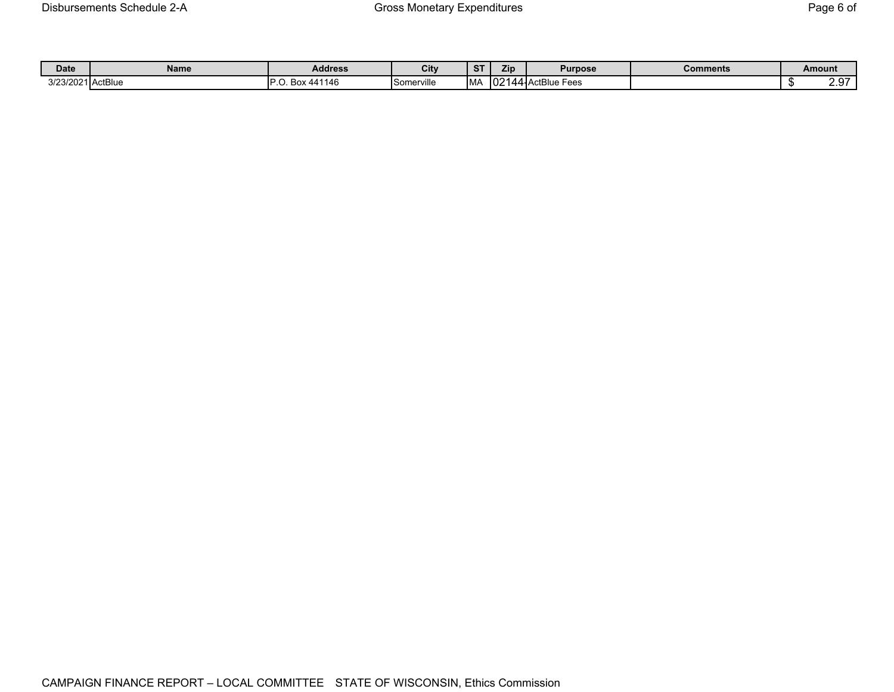| <b>Date</b>       | Name | <b>Address</b>       | City       | $\sim$ | Zip           | <b>Purpose</b>   | <b>Comments</b> | Amount                    |
|-------------------|------|----------------------|------------|--------|---------------|------------------|-----------------|---------------------------|
| 3/23/2021 ActBlue |      | Box 441146<br>$\sim$ | Somerville | IM/    | $\sim$<br>ے∪ا | 144-ActBlue Fees |                 | 07 /<br>$\sim$ . $\sigma$ |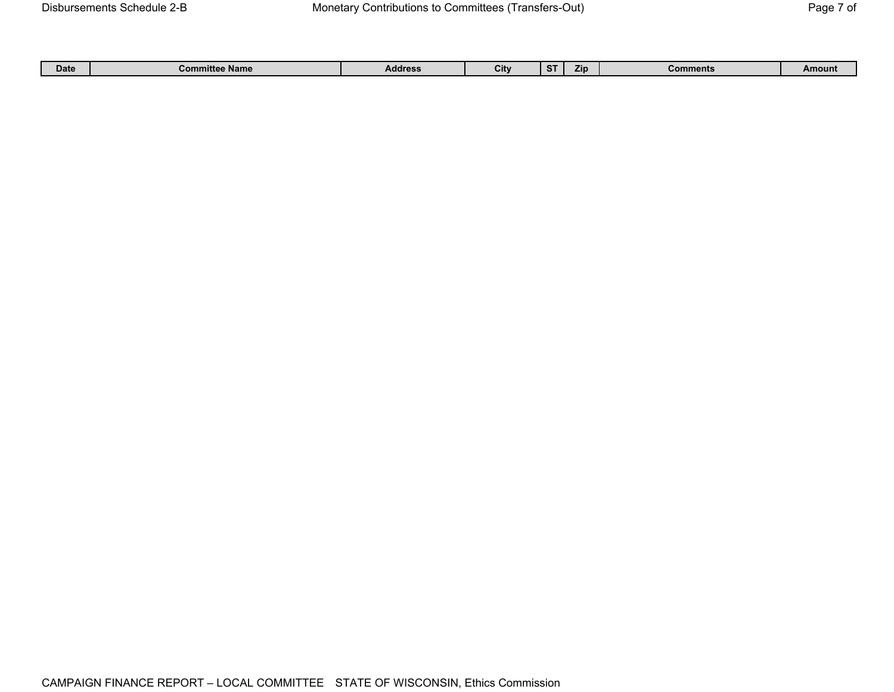|  | Date | .<br>іатк<br>. |  | . .<br>υīτ | - 31 | <b>ZID</b> |  | ount<br><b>AV 44</b> |
|--|------|----------------|--|------------|------|------------|--|----------------------|
|--|------|----------------|--|------------|------|------------|--|----------------------|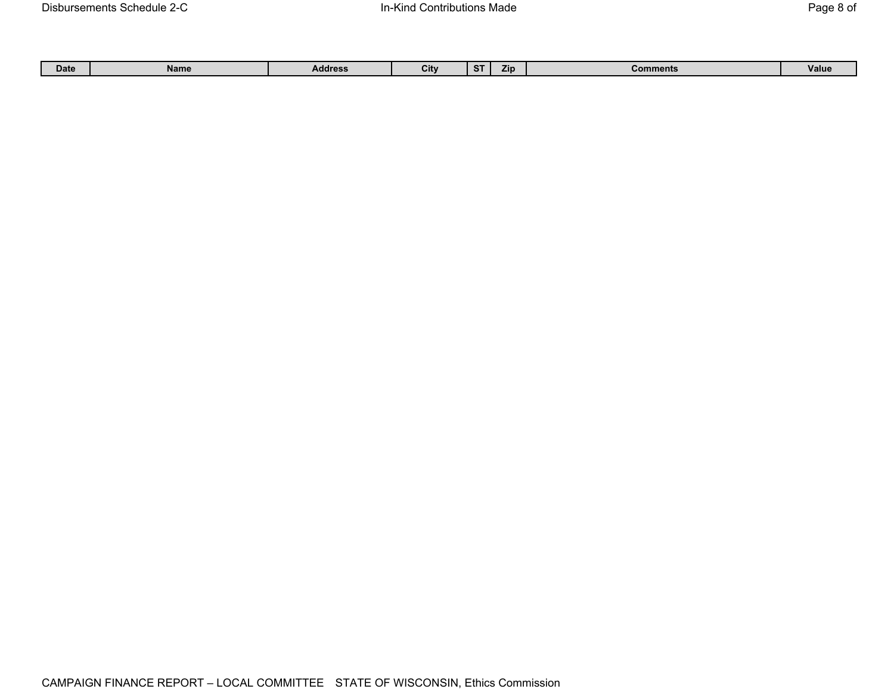| --<br>City<br><b>Zip</b><br><b>Value</b><br>Date<br>Address<br>mments<br>-cor<br>. . |  |  | Name |  |  |  |  |  |  |
|--------------------------------------------------------------------------------------|--|--|------|--|--|--|--|--|--|
|--------------------------------------------------------------------------------------|--|--|------|--|--|--|--|--|--|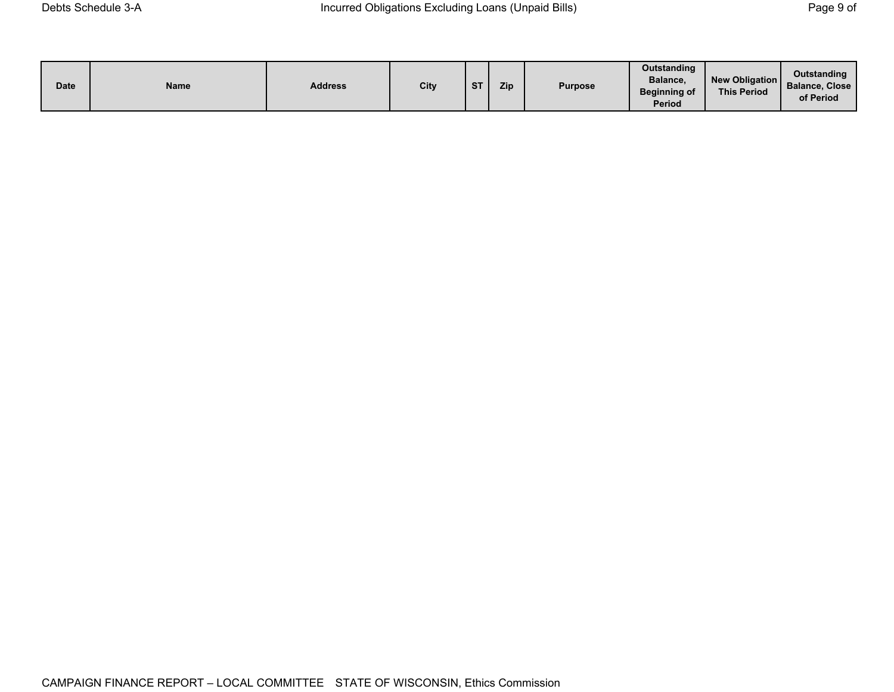| <b>Date</b> | Name | <b>Address</b> | City | $C$ T | <b>Zip</b> | <b>Purpose</b> | Outstanding<br>Balance,<br><b>Beginning of</b><br>Period | New Obligation<br><b>This Period</b> | Outstanding<br><b>Balance, Close</b><br>of Period |
|-------------|------|----------------|------|-------|------------|----------------|----------------------------------------------------------|--------------------------------------|---------------------------------------------------|
|-------------|------|----------------|------|-------|------------|----------------|----------------------------------------------------------|--------------------------------------|---------------------------------------------------|